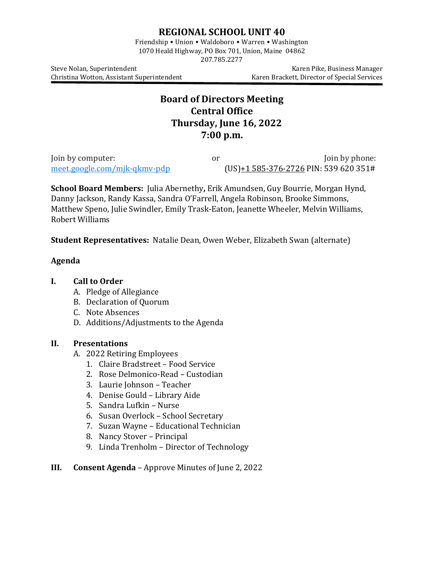# **REGIONAL SCHOOL UNIT 40**

Friendship • Union • Waldoboro • Warren • Washington 1070 Heald Highway, PO Box 701, Union, Maine 04862

207.785.2277

Christina Wotton, Assistant Superintendent

Steve Nolan, Superintendent<br>Christina Wotton, Assistant Superintendent (Karen Brackett, Director of Special Services

# **Board of Directors Meeting Central Office Thursday, June 16, 2022 7:00 p.m.**

Join by computer:  $\frac{1}{2}$  or  $\frac{1}{2}$  Join by phone:  $\frac{1}{2}$  Join by phone:  $\frac{1}{2}$  Join by phone:  $\frac{1}{2}$  Join by phone:  $\frac{1}{2}$  Join by phone:  $\frac{1}{2}$  Join by phone:  $\frac{1}{2}$  Join by phone:  $\frac{1}{2}$  Join b  $(US)+1$  [585-376-2726](tel:%E2%80%AA+1%20585-376-2726%E2%80%AC) PIN: 539 620 351#

**School Board Members:** Julia Abernethy**,** Erik Amundsen, Guy Bourrie, Morgan Hynd, Danny Jackson, Randy Kassa, Sandra O'Farrell, Angela Robinson, Brooke Simmons, Matthew Speno, Julie Swindler, Emily Trask-Eaton, Jeanette Wheeler, Melvin Williams, Robert Williams

**Student Representatives:** Natalie Dean, Owen Weber, Elizabeth Swan (alternate)

# **Agenda**

## **I. Call to Order**

- A. Pledge of Allegiance
- B. Declaration of Quorum
- C. Note Absences
- D. Additions/Adjustments to the Agenda

#### **II. Presentations**

- A. 2022 Retiring Employees
	- 1. Claire Bradstreet Food Service
	- 2. Rose Delmonico-Read Custodian
	- 3. Laurie Johnson Teacher
	- 4. Denise Gould Library Aide
	- 5. Sandra Lufkin Nurse
	- 6. Susan Overlock School Secretary
	- 7. Suzan Wayne Educational Technician
	- 8. Nancy Stover Principal
	- 9. Linda Trenholm Director of Technology

#### **III. Consent Agenda** – Approve Minutes of June 2, 2022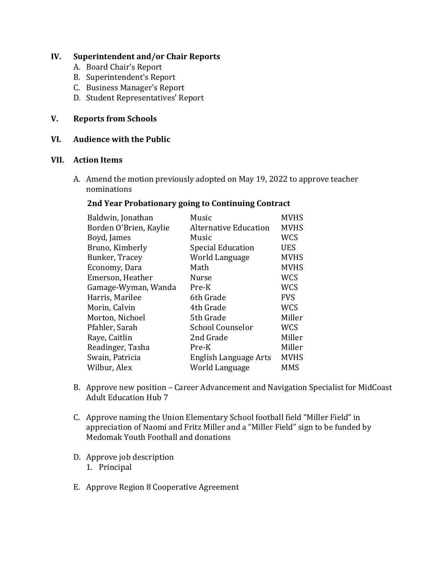# **IV. Superintendent and/or Chair Reports**

- A. Board Chair's Report
- B. Superintendent's Report
- C. Business Manager's Report
- D. Student Representatives' Report

# **V. Reports from Schools**

## **VI. Audience with the Public**

#### **VII. Action Items**

A. Amend the motion previously adopted on May 19, 2022 to approve teacher nominations

#### **2nd Year Probationary going to Continuing Contract**

| Baldwin, Jonathan      | Music                        | <b>MVHS</b> |
|------------------------|------------------------------|-------------|
| Borden O'Brien, Kaylie | <b>Alternative Education</b> | <b>MVHS</b> |
| Boyd, James            | Music                        | <b>WCS</b>  |
| Bruno, Kimberly        | <b>Special Education</b>     | <b>UES</b>  |
| Bunker, Tracey         | World Language               | <b>MVHS</b> |
| Economy, Dara          | Math                         | <b>MVHS</b> |
| Emerson, Heather       | <b>Nurse</b>                 | <b>WCS</b>  |
| Gamage-Wyman, Wanda    | Pre-K                        | <b>WCS</b>  |
| Harris, Marilee        | 6th Grade                    | <b>FVS</b>  |
| Morin, Calvin          | 4th Grade                    | <b>WCS</b>  |
| Morton, Nichoel        | 5th Grade                    | Miller      |
| Pfahler, Sarah         | <b>School Counselor</b>      | <b>WCS</b>  |
| Raye, Caitlin          | 2nd Grade                    | Miller      |
| Readinger, Tasha       | Pre-K                        | Miller      |
| Swain, Patricia        | English Language Arts        | <b>MVHS</b> |
| Wilbur, Alex           | World Language               | <b>MMS</b>  |
|                        |                              |             |

- B. Approve new position Career Advancement and Navigation Specialist for MidCoast Adult Education Hub 7
- C. Approve naming the Union Elementary School football field "Miller Field" in appreciation of Naomi and Fritz Miller and a "Miller Field" sign to be funded by Medomak Youth Football and donations
- D. Approve job description 1. Principal
- E. Approve Region 8 Cooperative Agreement